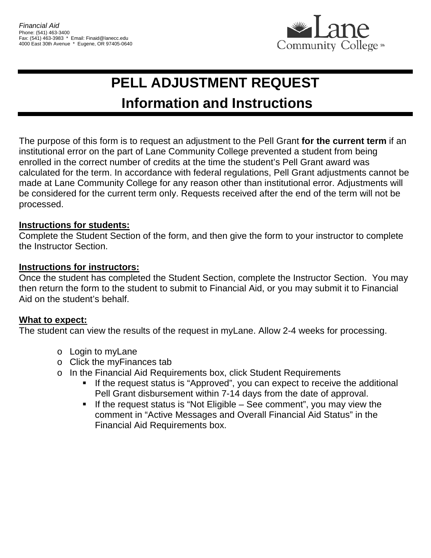

# **PELL ADJUSTMENT REQUEST Information and Instructions**

The purpose of this form is to request an adjustment to the Pell Grant **for the current term** if an institutional error on the part of Lane Community College prevented a student from being enrolled in the correct number of credits at the time the student's Pell Grant award was calculated for the term. In accordance with federal regulations, Pell Grant adjustments cannot be made at Lane Community College for any reason other than institutional error. Adjustments will be considered for the current term only. Requests received after the end of the term will not be processed.

### **Instructions for students:**

Complete the Student Section of the form, and then give the form to your instructor to complete the Instructor Section.

#### **Instructions for instructors:**

Once the student has completed the Student Section, complete the Instructor Section. You may then return the form to the student to submit to Financial Aid, or you may submit it to Financial Aid on the student's behalf.

#### **What to expect:**

The student can view the results of the request in myLane. Allow 2-4 weeks for processing.

- o Login to myLane
- o Click the myFinances tab
- o In the Financial Aid Requirements box, click Student Requirements
	- **If the request status is "Approved", you can expect to receive the additional** Pell Grant disbursement within 7-14 days from the date of approval.
	- If the request status is "Not Eligible See comment", you may view the comment in "Active Messages and Overall Financial Aid Status" in the Financial Aid Requirements box.